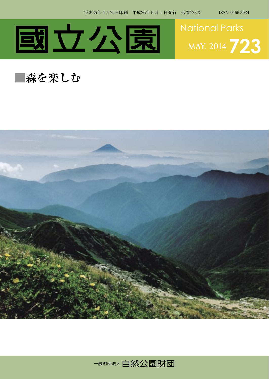



## **■森を楽しむ**